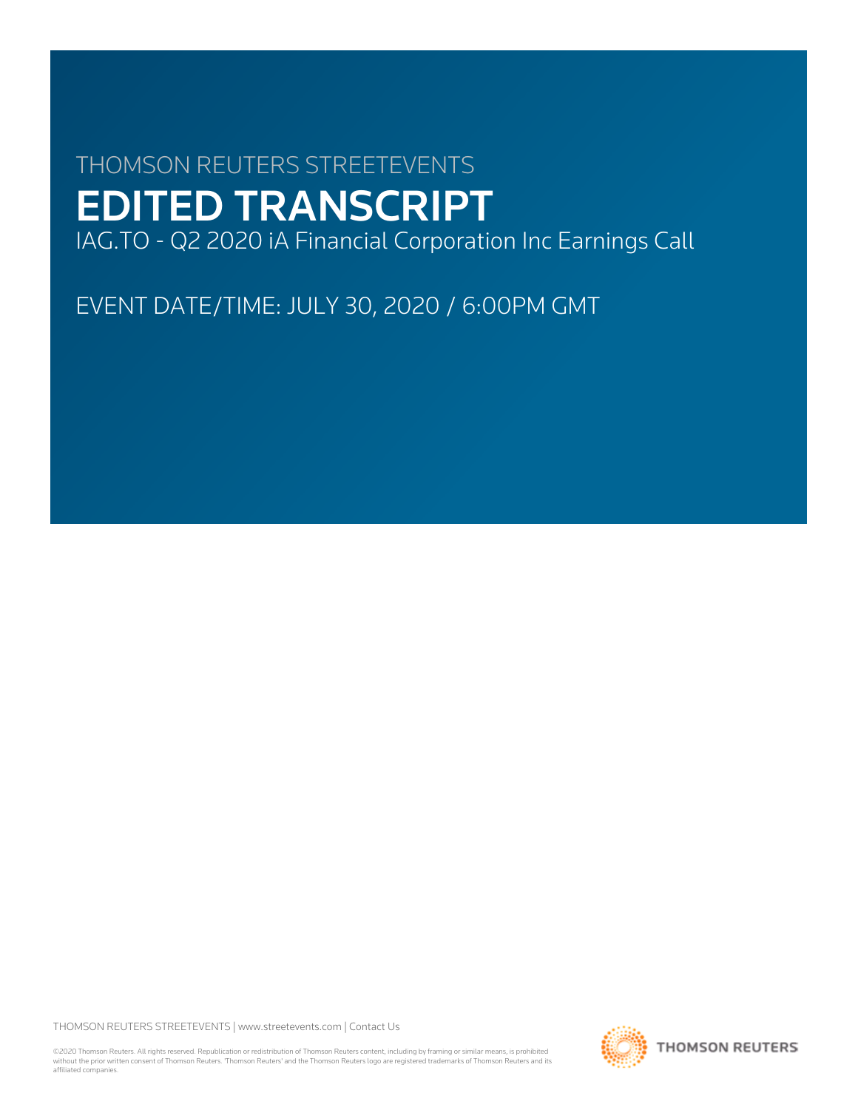# THOMSON REUTERS STREETEVENTS EDITED TRANSCRIPT

IAG.TO - Q2 2020 iA Financial Corporation Inc Earnings Call

EVENT DATE/TIME: JULY 30, 2020 / 6:00PM GMT

THOMSON REUTERS STREETEVENTS | [www.streetevents.com](http://www.streetevents.com) | [Contact Us](http://www010.streetevents.com/contact.asp)

©2020 Thomson Reuters. All rights reserved. Republication or redistribution of Thomson Reuters content, including by framing or similar means, is prohibited without the prior written consent of Thomson Reuters. 'Thomson Reuters' and the Thomson Reuters logo are registered trademarks of Thomson Reuters and its affiliated companies.

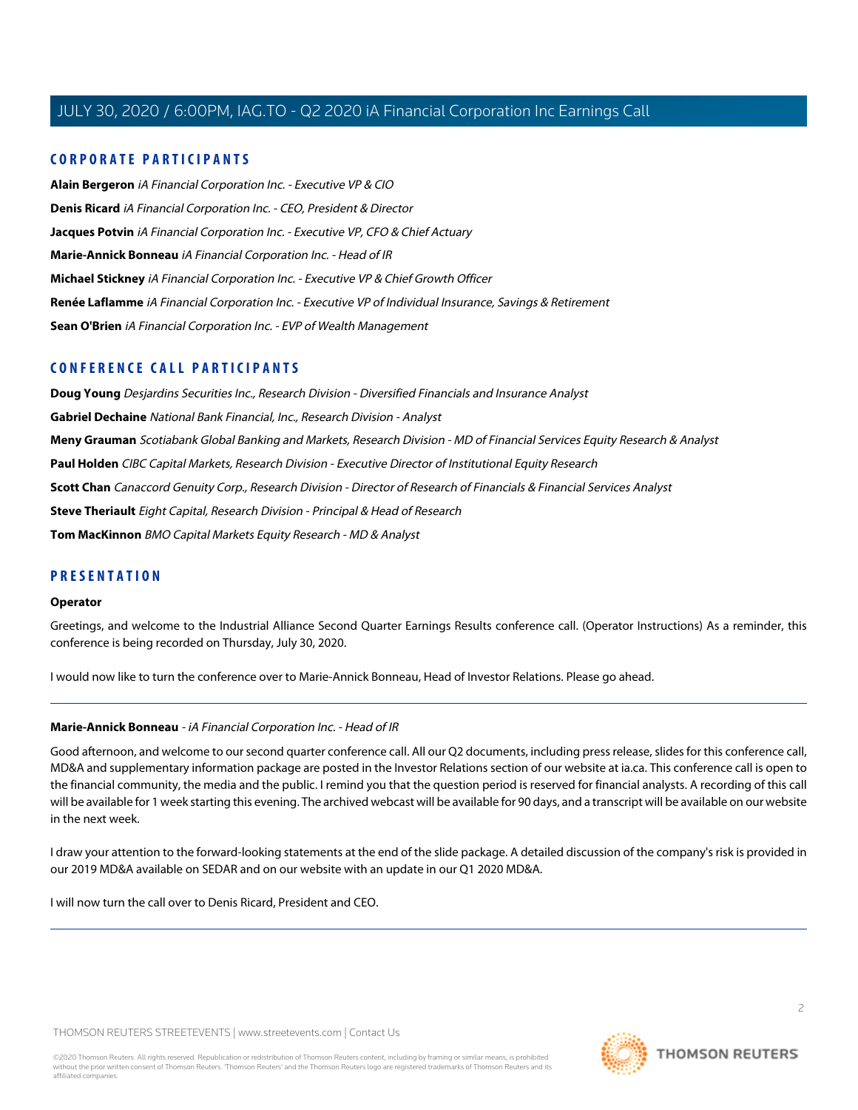# **CORPORATE PARTICIPANTS**

**[Alain Bergeron](#page-6-0)** iA Financial Corporation Inc. - Executive VP & CIO **[Denis Ricard](#page-2-0)** iA Financial Corporation Inc. - CEO, President & Director **[Jacques Potvin](#page-4-0)** iA Financial Corporation Inc. - Executive VP, CFO & Chief Actuary **[Marie-Annick Bonneau](#page-1-0)** iA Financial Corporation Inc. - Head of IR **[Michael Stickney](#page-3-0)** iA Financial Corporation Inc. - Executive VP & Chief Growth Officer **[Renée Laflamme](#page-14-0)** iA Financial Corporation Inc. - Executive VP of Individual Insurance, Savings & Retirement **[Sean O'Brien](#page-13-0)** iA Financial Corporation Inc. - EVP of Wealth Management

# **CONFERENCE CALL PARTICIPANTS**

**[Doug Young](#page-9-0)** Desjardins Securities Inc., Research Division - Diversified Financials and Insurance Analyst **[Gabriel Dechaine](#page-8-0)** National Bank Financial, Inc., Research Division - Analyst **[Meny Grauman](#page-7-0)** Scotiabank Global Banking and Markets, Research Division - MD of Financial Services Equity Research & Analyst **[Paul Holden](#page-13-1)** CIBC Capital Markets, Research Division - Executive Director of Institutional Equity Research **[Scott Chan](#page-11-0)** Canaccord Genuity Corp., Research Division - Director of Research of Financials & Financial Services Analyst **[Steve Theriault](#page-6-1)** Eight Capital, Research Division - Principal & Head of Research **[Tom MacKinnon](#page-14-1)** BMO Capital Markets Equity Research - MD & Analyst

# **PRESENTATION**

#### **Operator**

Greetings, and welcome to the Industrial Alliance Second Quarter Earnings Results conference call. (Operator Instructions) As a reminder, this conference is being recorded on Thursday, July 30, 2020.

<span id="page-1-0"></span>I would now like to turn the conference over to Marie-Annick Bonneau, Head of Investor Relations. Please go ahead.

### **Marie-Annick Bonneau** - iA Financial Corporation Inc. - Head of IR

Good afternoon, and welcome to our second quarter conference call. All our Q2 documents, including press release, slides for this conference call, MD&A and supplementary information package are posted in the Investor Relations section of our website at ia.ca. This conference call is open to the financial community, the media and the public. I remind you that the question period is reserved for financial analysts. A recording of this call will be available for 1 week starting this evening. The archived webcast will be available for 90 days, and a transcript will be available on our website in the next week.

I draw your attention to the forward-looking statements at the end of the slide package. A detailed discussion of the company's risk is provided in our 2019 MD&A available on SEDAR and on our website with an update in our Q1 2020 MD&A.

I will now turn the call over to Denis Ricard, President and CEO.

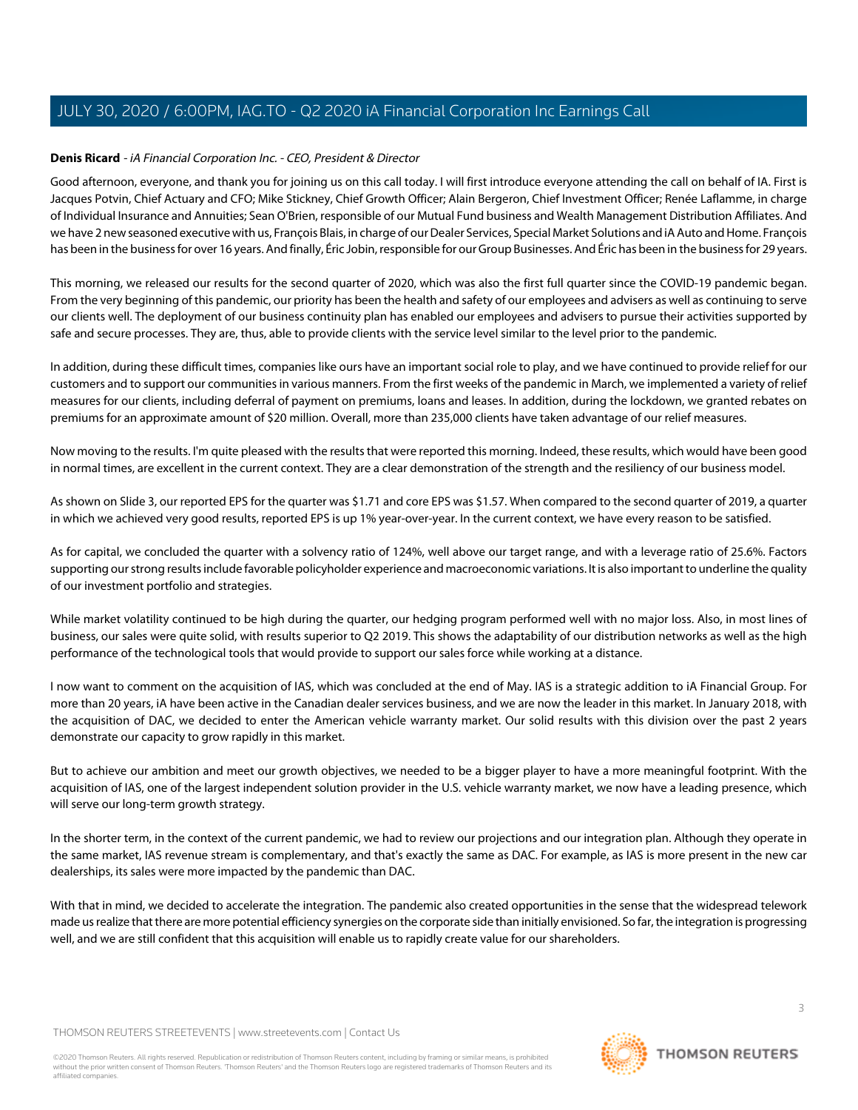# <span id="page-2-0"></span>**Denis Ricard** - iA Financial Corporation Inc. - CEO, President & Director

Good afternoon, everyone, and thank you for joining us on this call today. I will first introduce everyone attending the call on behalf of IA. First is Jacques Potvin, Chief Actuary and CFO; Mike Stickney, Chief Growth Officer; Alain Bergeron, Chief Investment Officer; Renée Laflamme, in charge of Individual Insurance and Annuities; Sean O'Brien, responsible of our Mutual Fund business and Wealth Management Distribution Affiliates. And we have 2 new seasoned executive with us, François Blais, in charge of our Dealer Services, Special Market Solutions and iA Auto and Home. François has been in the business for over 16 years. And finally, Éric Jobin, responsible for our Group Businesses. And Éric has been in the business for 29 years.

This morning, we released our results for the second quarter of 2020, which was also the first full quarter since the COVID-19 pandemic began. From the very beginning of this pandemic, our priority has been the health and safety of our employees and advisers as well as continuing to serve our clients well. The deployment of our business continuity plan has enabled our employees and advisers to pursue their activities supported by safe and secure processes. They are, thus, able to provide clients with the service level similar to the level prior to the pandemic.

In addition, during these difficult times, companies like ours have an important social role to play, and we have continued to provide relief for our customers and to support our communities in various manners. From the first weeks of the pandemic in March, we implemented a variety of relief measures for our clients, including deferral of payment on premiums, loans and leases. In addition, during the lockdown, we granted rebates on premiums for an approximate amount of \$20 million. Overall, more than 235,000 clients have taken advantage of our relief measures.

Now moving to the results. I'm quite pleased with the results that were reported this morning. Indeed, these results, which would have been good in normal times, are excellent in the current context. They are a clear demonstration of the strength and the resiliency of our business model.

As shown on Slide 3, our reported EPS for the quarter was \$1.71 and core EPS was \$1.57. When compared to the second quarter of 2019, a quarter in which we achieved very good results, reported EPS is up 1% year-over-year. In the current context, we have every reason to be satisfied.

As for capital, we concluded the quarter with a solvency ratio of 124%, well above our target range, and with a leverage ratio of 25.6%. Factors supporting our strong results include favorable policyholder experience and macroeconomic variations. It is also important to underline the quality of our investment portfolio and strategies.

While market volatility continued to be high during the quarter, our hedging program performed well with no major loss. Also, in most lines of business, our sales were quite solid, with results superior to Q2 2019. This shows the adaptability of our distribution networks as well as the high performance of the technological tools that would provide to support our sales force while working at a distance.

I now want to comment on the acquisition of IAS, which was concluded at the end of May. IAS is a strategic addition to iA Financial Group. For more than 20 years, iA have been active in the Canadian dealer services business, and we are now the leader in this market. In January 2018, with the acquisition of DAC, we decided to enter the American vehicle warranty market. Our solid results with this division over the past 2 years demonstrate our capacity to grow rapidly in this market.

But to achieve our ambition and meet our growth objectives, we needed to be a bigger player to have a more meaningful footprint. With the acquisition of IAS, one of the largest independent solution provider in the U.S. vehicle warranty market, we now have a leading presence, which will serve our long-term growth strategy.

In the shorter term, in the context of the current pandemic, we had to review our projections and our integration plan. Although they operate in the same market, IAS revenue stream is complementary, and that's exactly the same as DAC. For example, as IAS is more present in the new car dealerships, its sales were more impacted by the pandemic than DAC.

With that in mind, we decided to accelerate the integration. The pandemic also created opportunities in the sense that the widespread telework made us realize that there are more potential efficiency synergies on the corporate side than initially envisioned. So far, the integration is progressing well, and we are still confident that this acquisition will enable us to rapidly create value for our shareholders.

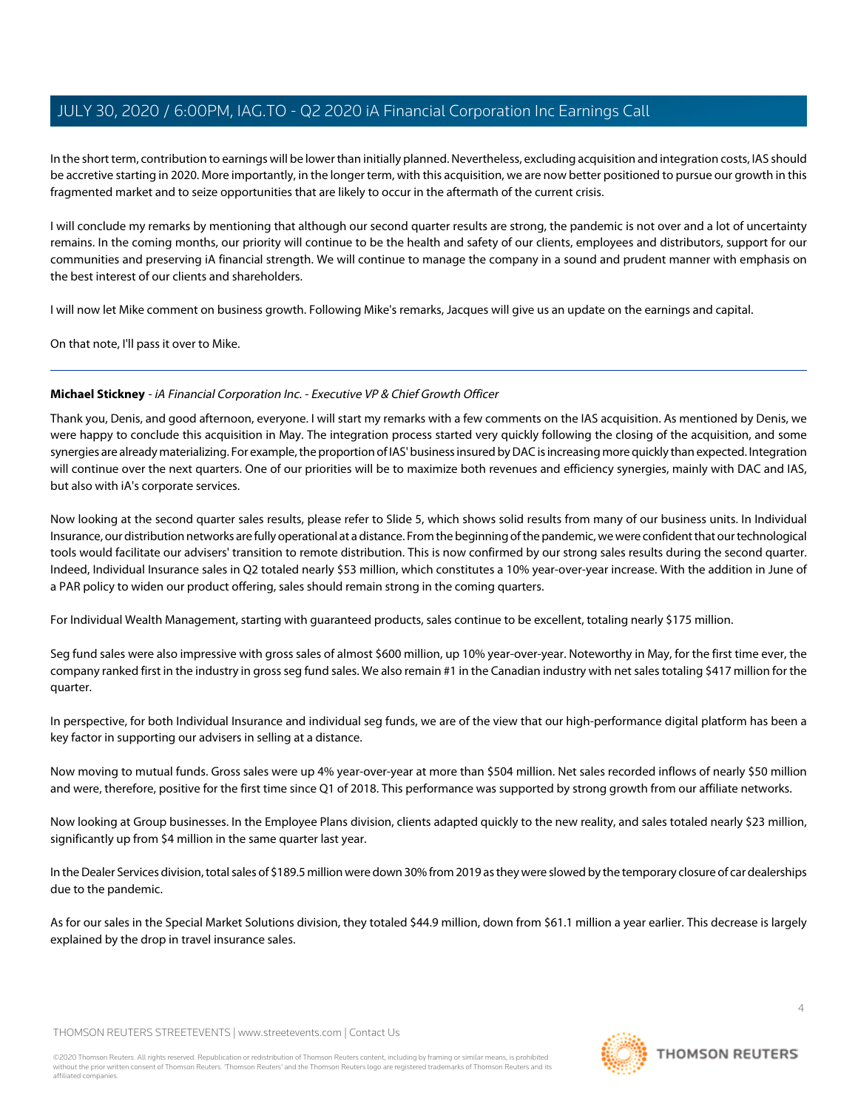In the short term, contribution to earnings will be lower than initially planned. Nevertheless, excluding acquisition and integration costs, IAS should be accretive starting in 2020. More importantly, in the longer term, with this acquisition, we are now better positioned to pursue our growth in this fragmented market and to seize opportunities that are likely to occur in the aftermath of the current crisis.

I will conclude my remarks by mentioning that although our second quarter results are strong, the pandemic is not over and a lot of uncertainty remains. In the coming months, our priority will continue to be the health and safety of our clients, employees and distributors, support for our communities and preserving iA financial strength. We will continue to manage the company in a sound and prudent manner with emphasis on the best interest of our clients and shareholders.

I will now let Mike comment on business growth. Following Mike's remarks, Jacques will give us an update on the earnings and capital.

<span id="page-3-0"></span>On that note, I'll pass it over to Mike.

# **Michael Stickney** - iA Financial Corporation Inc. - Executive VP & Chief Growth Officer

Thank you, Denis, and good afternoon, everyone. I will start my remarks with a few comments on the IAS acquisition. As mentioned by Denis, we were happy to conclude this acquisition in May. The integration process started very quickly following the closing of the acquisition, and some synergies are already materializing. For example, the proportion of IAS' business insured by DAC is increasing more quickly than expected. Integration will continue over the next quarters. One of our priorities will be to maximize both revenues and efficiency synergies, mainly with DAC and IAS, but also with iA's corporate services.

Now looking at the second quarter sales results, please refer to Slide 5, which shows solid results from many of our business units. In Individual Insurance, our distribution networks are fully operational at a distance. From the beginning of the pandemic, we were confident that our technological tools would facilitate our advisers' transition to remote distribution. This is now confirmed by our strong sales results during the second quarter. Indeed, Individual Insurance sales in Q2 totaled nearly \$53 million, which constitutes a 10% year-over-year increase. With the addition in June of a PAR policy to widen our product offering, sales should remain strong in the coming quarters.

For Individual Wealth Management, starting with guaranteed products, sales continue to be excellent, totaling nearly \$175 million.

Seg fund sales were also impressive with gross sales of almost \$600 million, up 10% year-over-year. Noteworthy in May, for the first time ever, the company ranked first in the industry in gross seg fund sales. We also remain #1 in the Canadian industry with net sales totaling \$417 million for the quarter.

In perspective, for both Individual Insurance and individual seg funds, we are of the view that our high-performance digital platform has been a key factor in supporting our advisers in selling at a distance.

Now moving to mutual funds. Gross sales were up 4% year-over-year at more than \$504 million. Net sales recorded inflows of nearly \$50 million and were, therefore, positive for the first time since Q1 of 2018. This performance was supported by strong growth from our affiliate networks.

Now looking at Group businesses. In the Employee Plans division, clients adapted quickly to the new reality, and sales totaled nearly \$23 million, significantly up from \$4 million in the same quarter last year.

In the Dealer Services division, total sales of \$189.5 million were down 30% from 2019 as they were slowed by the temporary closure of car dealerships due to the pandemic.

As for our sales in the Special Market Solutions division, they totaled \$44.9 million, down from \$61.1 million a year earlier. This decrease is largely explained by the drop in travel insurance sales.

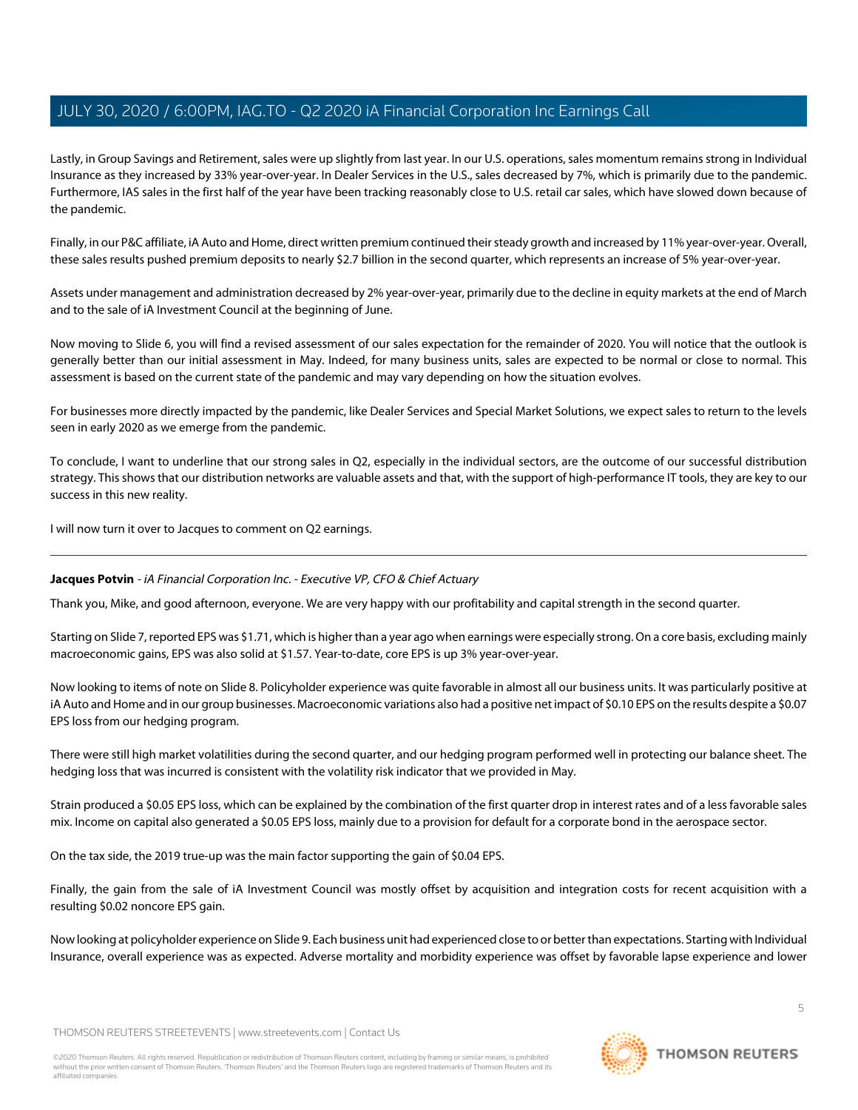Lastly, in Group Savings and Retirement, sales were up slightly from last year. In our U.S. operations, sales momentum remains strong in Individual Insurance as they increased by 33% year-over-year. In Dealer Services in the U.S., sales decreased by 7%, which is primarily due to the pandemic. Furthermore, IAS sales in the first half of the year have been tracking reasonably close to U.S. retail car sales, which have slowed down because of the pandemic.

Finally, in our P&C affiliate, iA Auto and Home, direct written premium continued their steady growth and increased by 11% year-over-year. Overall, these sales results pushed premium deposits to nearly \$2.7 billion in the second quarter, which represents an increase of 5% year-over-year.

Assets under management and administration decreased by 2% year-over-year, primarily due to the decline in equity markets at the end of March and to the sale of iA Investment Council at the beginning of June.

Now moving to Slide 6, you will find a revised assessment of our sales expectation for the remainder of 2020. You will notice that the outlook is generally better than our initial assessment in May. Indeed, for many business units, sales are expected to be normal or close to normal. This assessment is based on the current state of the pandemic and may vary depending on how the situation evolves.

For businesses more directly impacted by the pandemic, like Dealer Services and Special Market Solutions, we expect sales to return to the levels seen in early 2020 as we emerge from the pandemic.

To conclude, I want to underline that our strong sales in Q2, especially in the individual sectors, are the outcome of our successful distribution strategy. This shows that our distribution networks are valuable assets and that, with the support of high-performance IT tools, they are key to our success in this new reality.

<span id="page-4-0"></span>I will now turn it over to Jacques to comment on Q2 earnings.

# **Jacques Potvin** - iA Financial Corporation Inc. - Executive VP, CFO & Chief Actuary

Thank you, Mike, and good afternoon, everyone. We are very happy with our profitability and capital strength in the second quarter.

Starting on Slide 7, reported EPS was \$1.71, which is higher than a year ago when earnings were especially strong. On a core basis, excluding mainly macroeconomic gains, EPS was also solid at \$1.57. Year-to-date, core EPS is up 3% year-over-year.

Now looking to items of note on Slide 8. Policyholder experience was quite favorable in almost all our business units. It was particularly positive at iA Auto and Home and in our group businesses. Macroeconomic variations also had a positive net impact of \$0.10 EPS on the results despite a \$0.07 EPS loss from our hedging program.

There were still high market volatilities during the second quarter, and our hedging program performed well in protecting our balance sheet. The hedging loss that was incurred is consistent with the volatility risk indicator that we provided in May.

Strain produced a \$0.05 EPS loss, which can be explained by the combination of the first quarter drop in interest rates and of a less favorable sales mix. Income on capital also generated a \$0.05 EPS loss, mainly due to a provision for default for a corporate bond in the aerospace sector.

On the tax side, the 2019 true-up was the main factor supporting the gain of \$0.04 EPS.

Finally, the gain from the sale of iA Investment Council was mostly offset by acquisition and integration costs for recent acquisition with a resulting \$0.02 noncore EPS gain.

Now looking at policyholder experience on Slide 9. Each business unit had experienced close to or better than expectations. Starting with Individual Insurance, overall experience was as expected. Adverse mortality and morbidity experience was offset by favorable lapse experience and lower

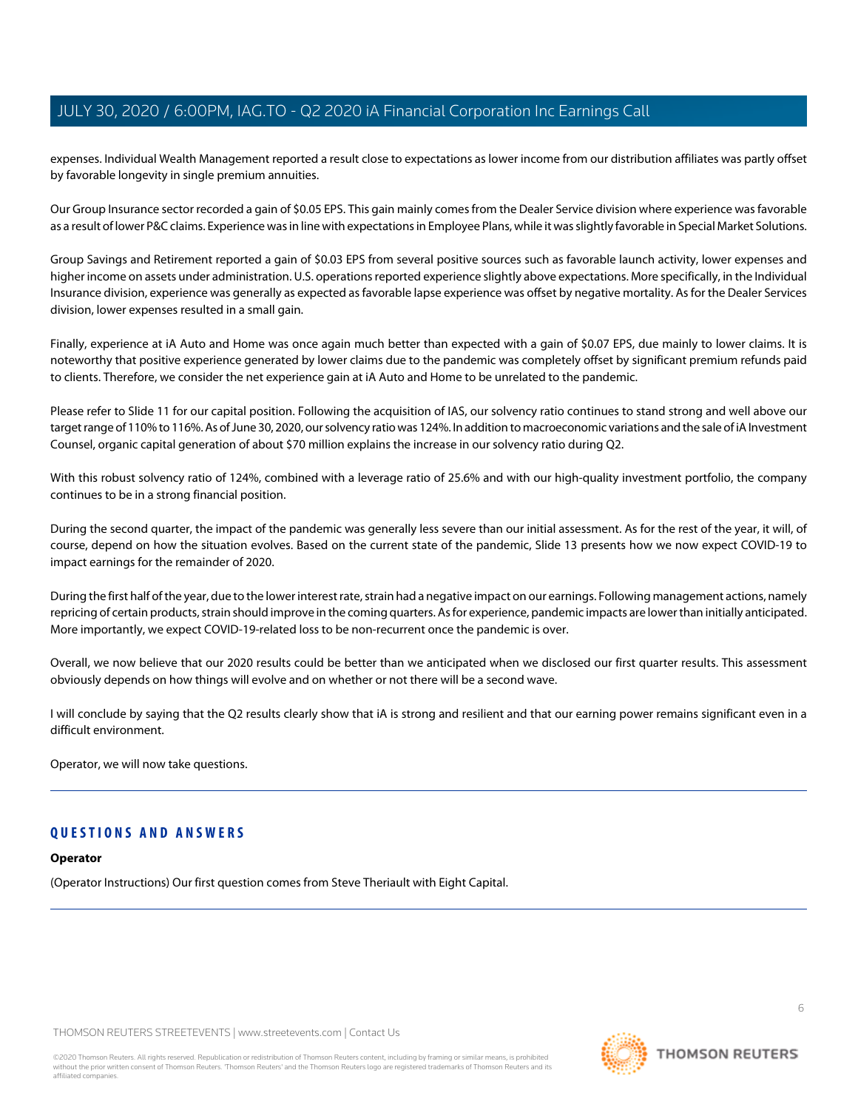expenses. Individual Wealth Management reported a result close to expectations as lower income from our distribution affiliates was partly offset by favorable longevity in single premium annuities.

Our Group Insurance sector recorded a gain of \$0.05 EPS. This gain mainly comes from the Dealer Service division where experience was favorable as a result of lower P&C claims. Experience was in line with expectations in Employee Plans, while it was slightly favorable in Special Market Solutions.

Group Savings and Retirement reported a gain of \$0.03 EPS from several positive sources such as favorable launch activity, lower expenses and higher income on assets under administration. U.S. operations reported experience slightly above expectations. More specifically, in the Individual Insurance division, experience was generally as expected as favorable lapse experience was offset by negative mortality. As for the Dealer Services division, lower expenses resulted in a small gain.

Finally, experience at iA Auto and Home was once again much better than expected with a gain of \$0.07 EPS, due mainly to lower claims. It is noteworthy that positive experience generated by lower claims due to the pandemic was completely offset by significant premium refunds paid to clients. Therefore, we consider the net experience gain at iA Auto and Home to be unrelated to the pandemic.

Please refer to Slide 11 for our capital position. Following the acquisition of IAS, our solvency ratio continues to stand strong and well above our target range of 110% to 116%. As of June 30, 2020, our solvency ratio was 124%. In addition to macroeconomic variations and the sale of iA Investment Counsel, organic capital generation of about \$70 million explains the increase in our solvency ratio during Q2.

With this robust solvency ratio of 124%, combined with a leverage ratio of 25.6% and with our high-quality investment portfolio, the company continues to be in a strong financial position.

During the second quarter, the impact of the pandemic was generally less severe than our initial assessment. As for the rest of the year, it will, of course, depend on how the situation evolves. Based on the current state of the pandemic, Slide 13 presents how we now expect COVID-19 to impact earnings for the remainder of 2020.

During the first half of the year, due to the lower interest rate, strain had a negative impact on our earnings. Following management actions, namely repricing of certain products, strain should improve in the coming quarters. As for experience, pandemic impacts are lower than initially anticipated. More importantly, we expect COVID-19-related loss to be non-recurrent once the pandemic is over.

Overall, we now believe that our 2020 results could be better than we anticipated when we disclosed our first quarter results. This assessment obviously depends on how things will evolve and on whether or not there will be a second wave.

I will conclude by saying that the Q2 results clearly show that iA is strong and resilient and that our earning power remains significant even in a difficult environment.

Operator, we will now take questions.

# **QUESTIONS AND ANSWERS**

### **Operator**

(Operator Instructions) Our first question comes from Steve Theriault with Eight Capital.

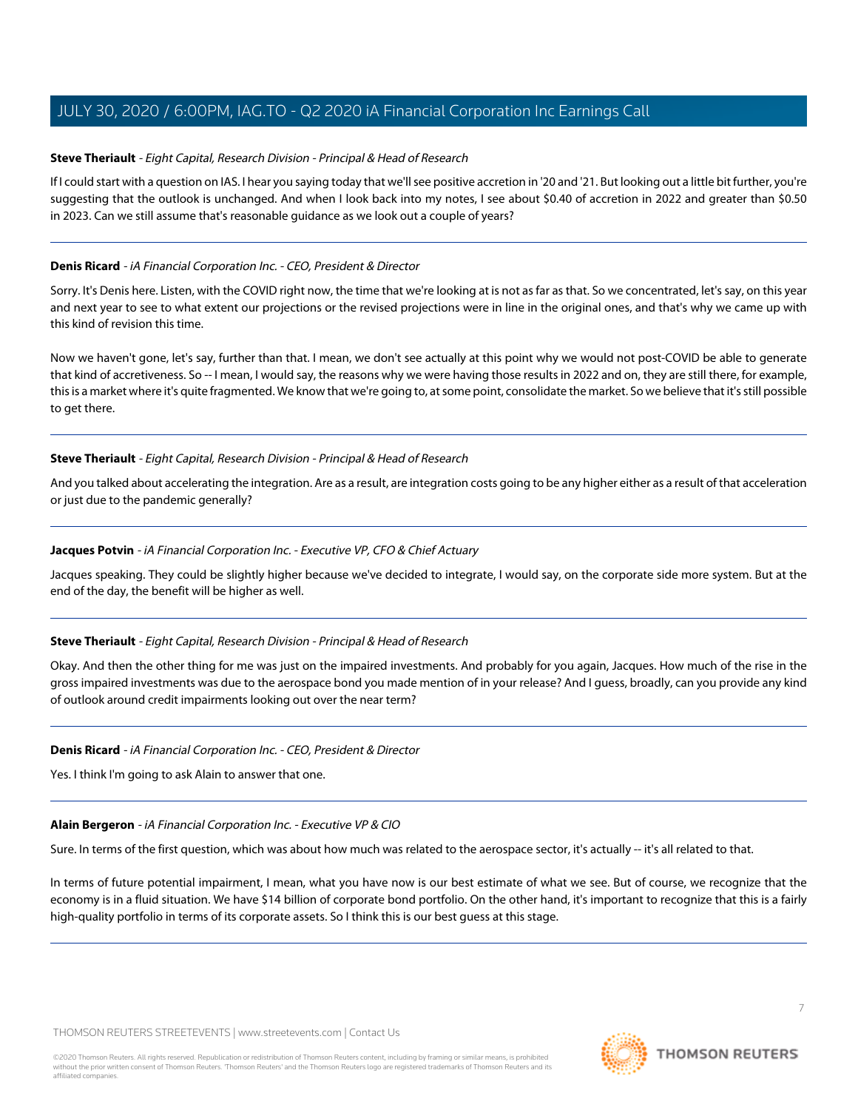### <span id="page-6-1"></span>**Steve Theriault** - Eight Capital, Research Division - Principal & Head of Research

If I could start with a question on IAS. I hear you saying today that we'll see positive accretion in '20 and '21. But looking out a little bit further, you're suggesting that the outlook is unchanged. And when I look back into my notes, I see about \$0.40 of accretion in 2022 and greater than \$0.50 in 2023. Can we still assume that's reasonable guidance as we look out a couple of years?

### **Denis Ricard** - iA Financial Corporation Inc. - CEO, President & Director

Sorry. It's Denis here. Listen, with the COVID right now, the time that we're looking at is not as far as that. So we concentrated, let's say, on this year and next year to see to what extent our projections or the revised projections were in line in the original ones, and that's why we came up with this kind of revision this time.

Now we haven't gone, let's say, further than that. I mean, we don't see actually at this point why we would not post-COVID be able to generate that kind of accretiveness. So -- I mean, I would say, the reasons why we were having those results in 2022 and on, they are still there, for example, this is a market where it's quite fragmented. We know that we're going to, at some point, consolidate the market. So we believe that it's still possible to get there.

### **Steve Theriault** - Eight Capital, Research Division - Principal & Head of Research

And you talked about accelerating the integration. Are as a result, are integration costs going to be any higher either as a result of that acceleration or just due to the pandemic generally?

### **Jacques Potvin** - iA Financial Corporation Inc. - Executive VP, CFO & Chief Actuary

Jacques speaking. They could be slightly higher because we've decided to integrate, I would say, on the corporate side more system. But at the end of the day, the benefit will be higher as well.

### **Steve Theriault** - Eight Capital, Research Division - Principal & Head of Research

Okay. And then the other thing for me was just on the impaired investments. And probably for you again, Jacques. How much of the rise in the gross impaired investments was due to the aerospace bond you made mention of in your release? And I guess, broadly, can you provide any kind of outlook around credit impairments looking out over the near term?

### <span id="page-6-0"></span>**Denis Ricard** - iA Financial Corporation Inc. - CEO, President & Director

Yes. I think I'm going to ask Alain to answer that one.

### **Alain Bergeron** - iA Financial Corporation Inc. - Executive VP & CIO

Sure. In terms of the first question, which was about how much was related to the aerospace sector, it's actually -- it's all related to that.

In terms of future potential impairment, I mean, what you have now is our best estimate of what we see. But of course, we recognize that the economy is in a fluid situation. We have \$14 billion of corporate bond portfolio. On the other hand, it's important to recognize that this is a fairly high-quality portfolio in terms of its corporate assets. So I think this is our best guess at this stage.

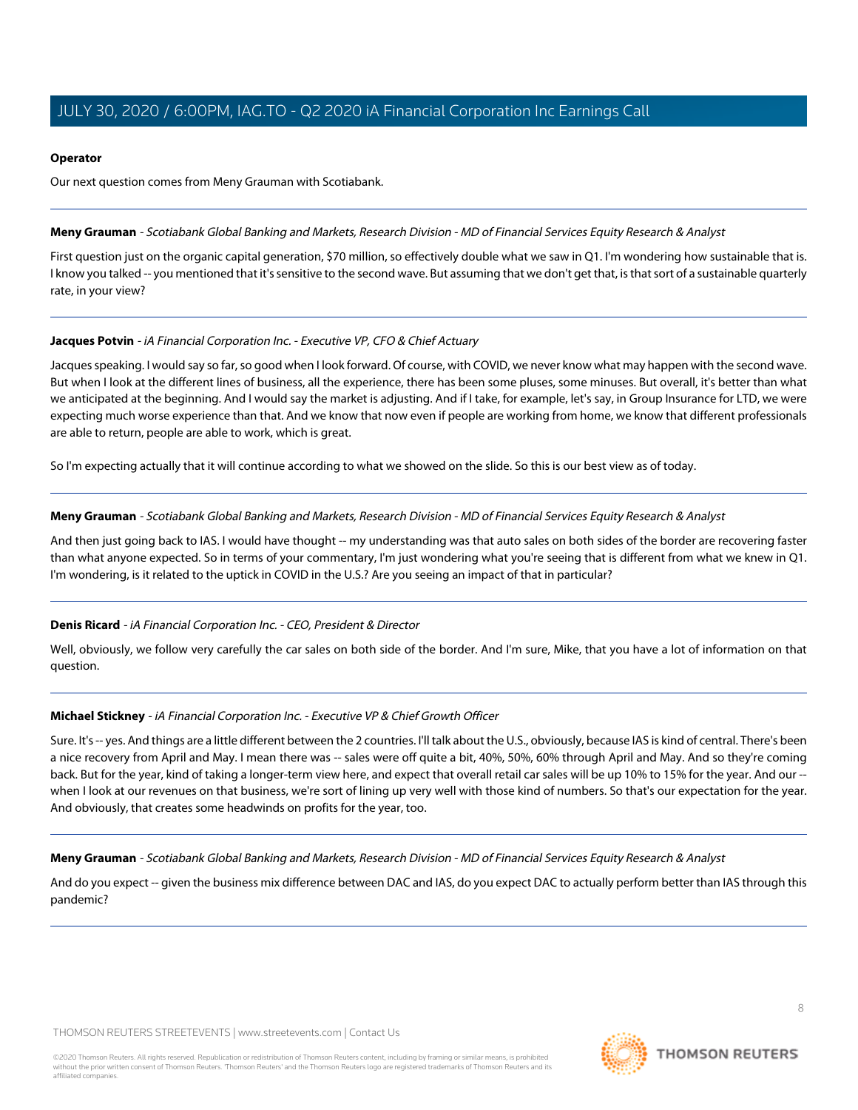### **Operator**

Our next question comes from Meny Grauman with Scotiabank.

### <span id="page-7-0"></span>**Meny Grauman** - Scotiabank Global Banking and Markets, Research Division - MD of Financial Services Equity Research & Analyst

First question just on the organic capital generation, \$70 million, so effectively double what we saw in Q1. I'm wondering how sustainable that is. I know you talked -- you mentioned that it's sensitive to the second wave. But assuming that we don't get that, is that sort of a sustainable quarterly rate, in your view?

# **Jacques Potvin** - iA Financial Corporation Inc. - Executive VP, CFO & Chief Actuary

Jacques speaking. I would say so far, so good when I look forward. Of course, with COVID, we never know what may happen with the second wave. But when I look at the different lines of business, all the experience, there has been some pluses, some minuses. But overall, it's better than what we anticipated at the beginning. And I would say the market is adjusting. And if I take, for example, let's say, in Group Insurance for LTD, we were expecting much worse experience than that. And we know that now even if people are working from home, we know that different professionals are able to return, people are able to work, which is great.

So I'm expecting actually that it will continue according to what we showed on the slide. So this is our best view as of today.

### **Meny Grauman** - Scotiabank Global Banking and Markets, Research Division - MD of Financial Services Equity Research & Analyst

And then just going back to IAS. I would have thought -- my understanding was that auto sales on both sides of the border are recovering faster than what anyone expected. So in terms of your commentary, I'm just wondering what you're seeing that is different from what we knew in Q1. I'm wondering, is it related to the uptick in COVID in the U.S.? Are you seeing an impact of that in particular?

# **Denis Ricard** - iA Financial Corporation Inc. - CEO, President & Director

Well, obviously, we follow very carefully the car sales on both side of the border. And I'm sure, Mike, that you have a lot of information on that question.

# **Michael Stickney** - iA Financial Corporation Inc. - Executive VP & Chief Growth Officer

Sure. It's -- yes. And things are a little different between the 2 countries. I'll talk about the U.S., obviously, because IAS is kind of central. There's been a nice recovery from April and May. I mean there was -- sales were off quite a bit, 40%, 50%, 60% through April and May. And so they're coming back. But for the year, kind of taking a longer-term view here, and expect that overall retail car sales will be up 10% to 15% for the year. And our - when I look at our revenues on that business, we're sort of lining up very well with those kind of numbers. So that's our expectation for the year. And obviously, that creates some headwinds on profits for the year, too.

**Meny Grauman** - Scotiabank Global Banking and Markets, Research Division - MD of Financial Services Equity Research & Analyst

And do you expect -- given the business mix difference between DAC and IAS, do you expect DAC to actually perform better than IAS through this pandemic?

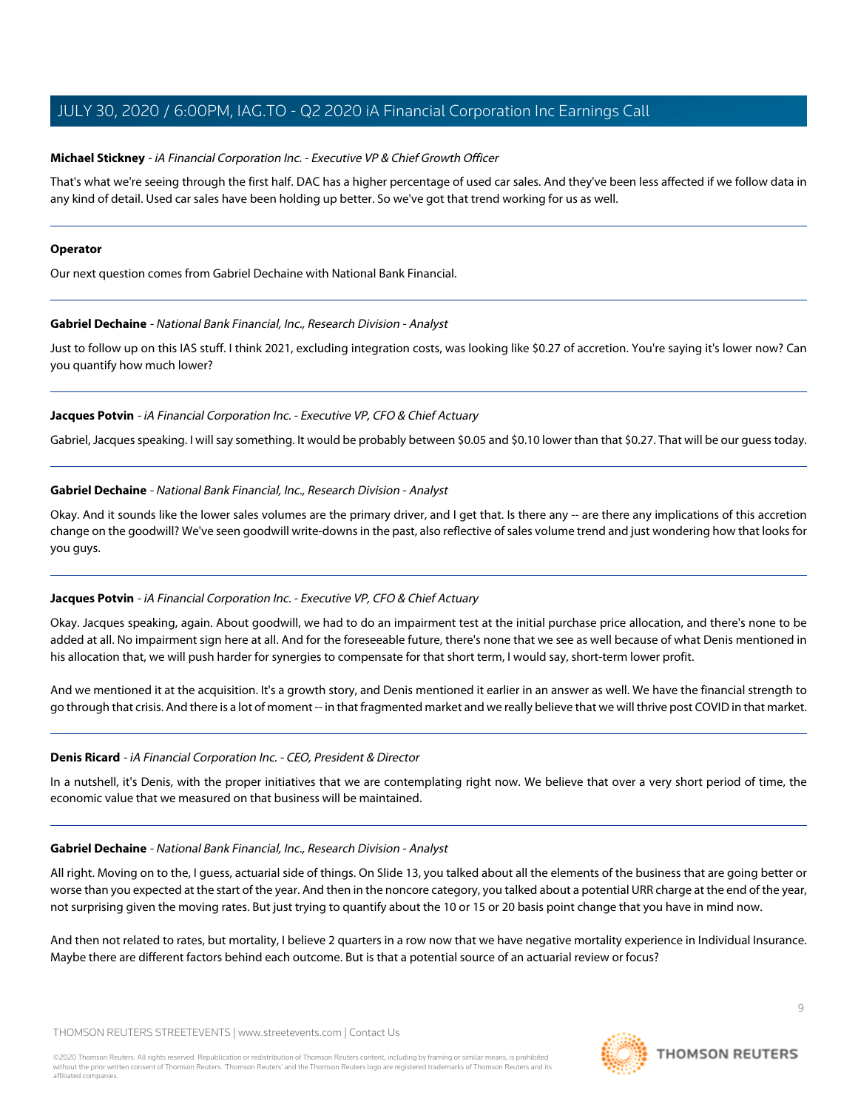### **Michael Stickney** - iA Financial Corporation Inc. - Executive VP & Chief Growth Officer

That's what we're seeing through the first half. DAC has a higher percentage of used car sales. And they've been less affected if we follow data in any kind of detail. Used car sales have been holding up better. So we've got that trend working for us as well.

#### **Operator**

<span id="page-8-0"></span>Our next question comes from Gabriel Dechaine with National Bank Financial.

### **Gabriel Dechaine** - National Bank Financial, Inc., Research Division - Analyst

Just to follow up on this IAS stuff. I think 2021, excluding integration costs, was looking like \$0.27 of accretion. You're saying it's lower now? Can you quantify how much lower?

### **Jacques Potvin** - iA Financial Corporation Inc. - Executive VP, CFO & Chief Actuary

Gabriel, Jacques speaking. I will say something. It would be probably between \$0.05 and \$0.10 lower than that \$0.27. That will be our guess today.

### **Gabriel Dechaine** - National Bank Financial, Inc., Research Division - Analyst

Okay. And it sounds like the lower sales volumes are the primary driver, and I get that. Is there any -- are there any implications of this accretion change on the goodwill? We've seen goodwill write-downs in the past, also reflective of sales volume trend and just wondering how that looks for you guys.

# **Jacques Potvin** - iA Financial Corporation Inc. - Executive VP, CFO & Chief Actuary

Okay. Jacques speaking, again. About goodwill, we had to do an impairment test at the initial purchase price allocation, and there's none to be added at all. No impairment sign here at all. And for the foreseeable future, there's none that we see as well because of what Denis mentioned in his allocation that, we will push harder for synergies to compensate for that short term, I would say, short-term lower profit.

And we mentioned it at the acquisition. It's a growth story, and Denis mentioned it earlier in an answer as well. We have the financial strength to go through that crisis. And there is a lot of moment -- in that fragmented market and we really believe that we will thrive post COVID in that market.

### **Denis Ricard** - iA Financial Corporation Inc. - CEO, President & Director

In a nutshell, it's Denis, with the proper initiatives that we are contemplating right now. We believe that over a very short period of time, the economic value that we measured on that business will be maintained.

### **Gabriel Dechaine** - National Bank Financial, Inc., Research Division - Analyst

All right. Moving on to the, I guess, actuarial side of things. On Slide 13, you talked about all the elements of the business that are going better or worse than you expected at the start of the year. And then in the noncore category, you talked about a potential URR charge at the end of the year, not surprising given the moving rates. But just trying to quantify about the 10 or 15 or 20 basis point change that you have in mind now.

And then not related to rates, but mortality, I believe 2 quarters in a row now that we have negative mortality experience in Individual Insurance. Maybe there are different factors behind each outcome. But is that a potential source of an actuarial review or focus?

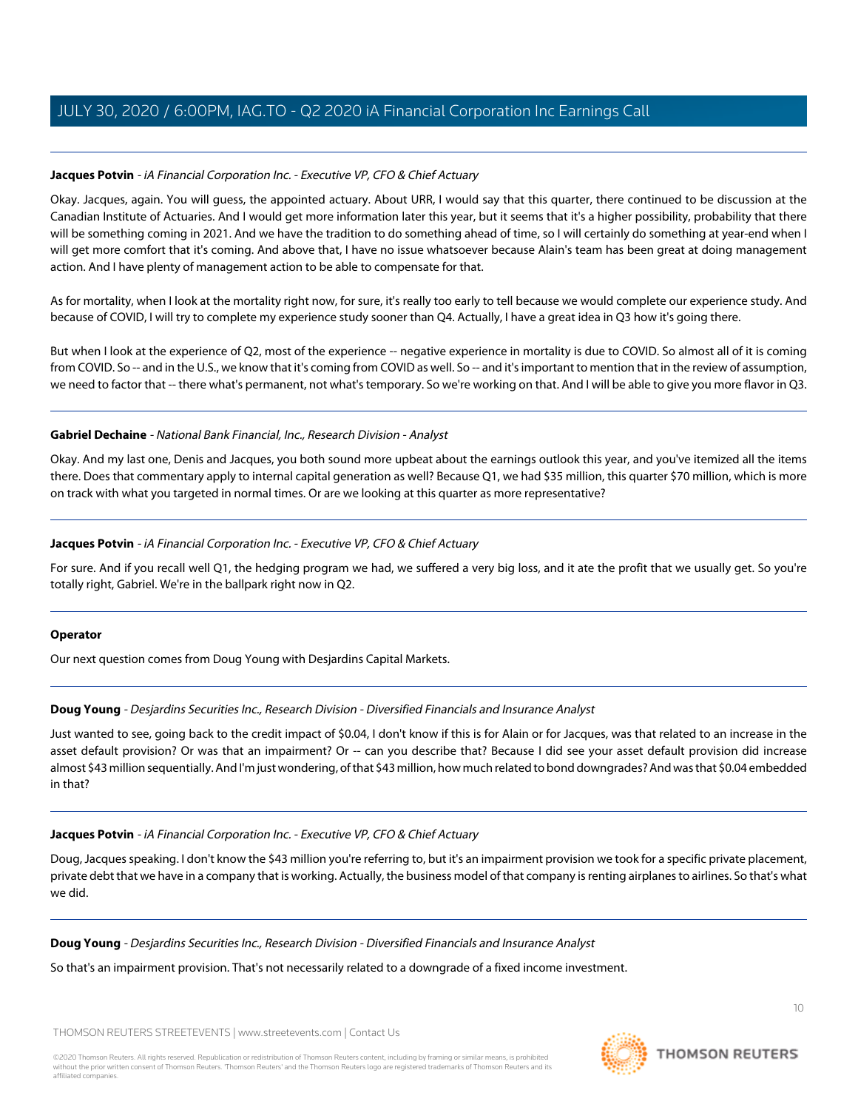# **Jacques Potvin** - iA Financial Corporation Inc. - Executive VP, CFO & Chief Actuary

Okay. Jacques, again. You will guess, the appointed actuary. About URR, I would say that this quarter, there continued to be discussion at the Canadian Institute of Actuaries. And I would get more information later this year, but it seems that it's a higher possibility, probability that there will be something coming in 2021. And we have the tradition to do something ahead of time, so I will certainly do something at year-end when I will get more comfort that it's coming. And above that, I have no issue whatsoever because Alain's team has been great at doing management action. And I have plenty of management action to be able to compensate for that.

As for mortality, when I look at the mortality right now, for sure, it's really too early to tell because we would complete our experience study. And because of COVID, I will try to complete my experience study sooner than Q4. Actually, I have a great idea in Q3 how it's going there.

But when I look at the experience of Q2, most of the experience -- negative experience in mortality is due to COVID. So almost all of it is coming from COVID. So -- and in the U.S., we know that it's coming from COVID as well. So -- and it's important to mention that in the review of assumption, we need to factor that -- there what's permanent, not what's temporary. So we're working on that. And I will be able to give you more flavor in Q3.

### **Gabriel Dechaine** - National Bank Financial, Inc., Research Division - Analyst

Okay. And my last one, Denis and Jacques, you both sound more upbeat about the earnings outlook this year, and you've itemized all the items there. Does that commentary apply to internal capital generation as well? Because Q1, we had \$35 million, this quarter \$70 million, which is more on track with what you targeted in normal times. Or are we looking at this quarter as more representative?

### **Jacques Potvin** - iA Financial Corporation Inc. - Executive VP, CFO & Chief Actuary

For sure. And if you recall well Q1, the hedging program we had, we suffered a very big loss, and it ate the profit that we usually get. So you're totally right, Gabriel. We're in the ballpark right now in Q2.

### <span id="page-9-0"></span>**Operator**

Our next question comes from Doug Young with Desjardins Capital Markets.

# **Doug Young** - Desjardins Securities Inc., Research Division - Diversified Financials and Insurance Analyst

Just wanted to see, going back to the credit impact of \$0.04, I don't know if this is for Alain or for Jacques, was that related to an increase in the asset default provision? Or was that an impairment? Or -- can you describe that? Because I did see your asset default provision did increase almost \$43 million sequentially. And I'm just wondering, of that \$43 million, how much related to bond downgrades? And was that \$0.04 embedded in that?

### **Jacques Potvin** - iA Financial Corporation Inc. - Executive VP, CFO & Chief Actuary

Doug, Jacques speaking. I don't know the \$43 million you're referring to, but it's an impairment provision we took for a specific private placement, private debt that we have in a company that is working. Actually, the business model of that company is renting airplanes to airlines. So that's what we did.

**Doug Young** - Desjardins Securities Inc., Research Division - Diversified Financials and Insurance Analyst

So that's an impairment provision. That's not necessarily related to a downgrade of a fixed income investment.

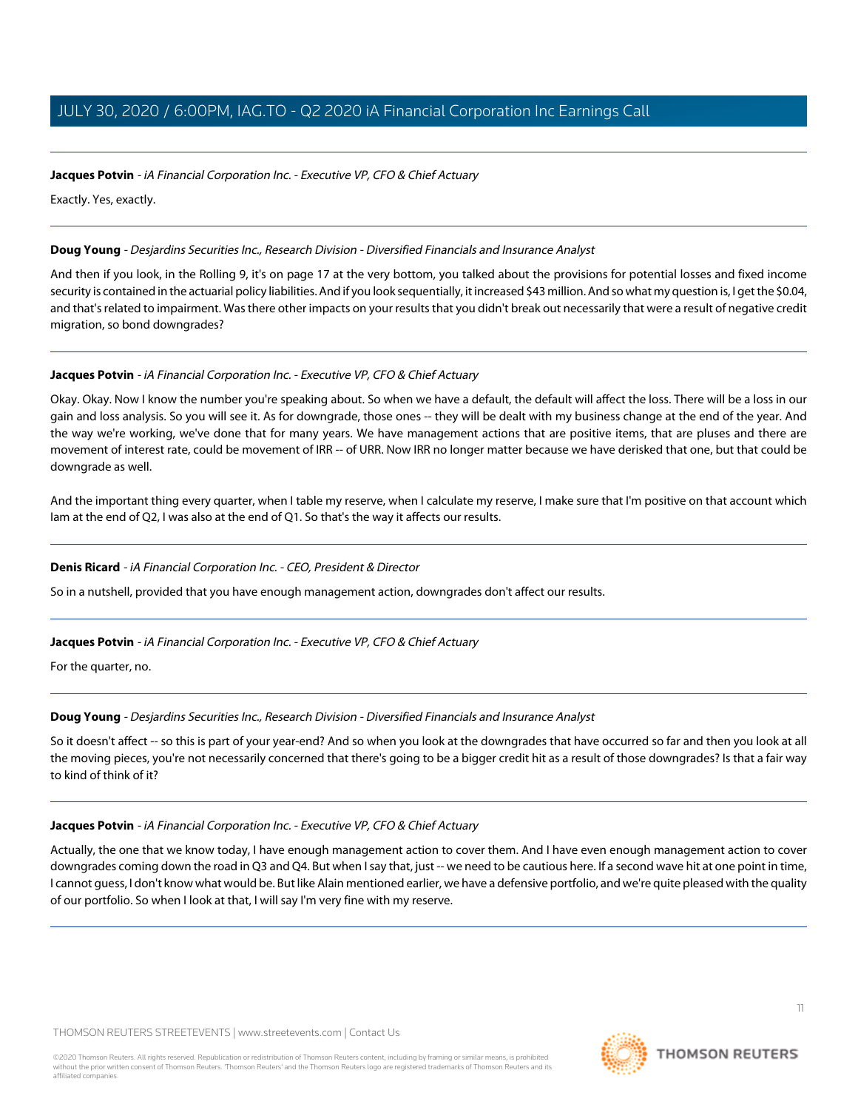### **Jacques Potvin** - iA Financial Corporation Inc. - Executive VP, CFO & Chief Actuary

Exactly. Yes, exactly.

### **Doug Young** - Desjardins Securities Inc., Research Division - Diversified Financials and Insurance Analyst

And then if you look, in the Rolling 9, it's on page 17 at the very bottom, you talked about the provisions for potential losses and fixed income security is contained in the actuarial policy liabilities. And if you look sequentially, it increased \$43 million. And so what my question is, I get the \$0.04, and that's related to impairment. Was there other impacts on your results that you didn't break out necessarily that were a result of negative credit migration, so bond downgrades?

### **Jacques Potvin** - iA Financial Corporation Inc. - Executive VP, CFO & Chief Actuary

Okay. Okay. Now I know the number you're speaking about. So when we have a default, the default will affect the loss. There will be a loss in our gain and loss analysis. So you will see it. As for downgrade, those ones -- they will be dealt with my business change at the end of the year. And the way we're working, we've done that for many years. We have management actions that are positive items, that are pluses and there are movement of interest rate, could be movement of IRR -- of URR. Now IRR no longer matter because we have derisked that one, but that could be downgrade as well.

And the important thing every quarter, when I table my reserve, when I calculate my reserve, I make sure that I'm positive on that account which Iam at the end of Q2, I was also at the end of Q1. So that's the way it affects our results.

# **Denis Ricard** - iA Financial Corporation Inc. - CEO, President & Director

So in a nutshell, provided that you have enough management action, downgrades don't affect our results.

# **Jacques Potvin** - iA Financial Corporation Inc. - Executive VP, CFO & Chief Actuary

For the quarter, no.

# **Doug Young** - Desjardins Securities Inc., Research Division - Diversified Financials and Insurance Analyst

So it doesn't affect -- so this is part of your year-end? And so when you look at the downgrades that have occurred so far and then you look at all the moving pieces, you're not necessarily concerned that there's going to be a bigger credit hit as a result of those downgrades? Is that a fair way to kind of think of it?

# **Jacques Potvin** - iA Financial Corporation Inc. - Executive VP, CFO & Chief Actuary

Actually, the one that we know today, I have enough management action to cover them. And I have even enough management action to cover downgrades coming down the road in Q3 and Q4. But when I say that, just -- we need to be cautious here. If a second wave hit at one point in time, I cannot guess, I don't know what would be. But like Alain mentioned earlier, we have a defensive portfolio, and we're quite pleased with the quality of our portfolio. So when I look at that, I will say I'm very fine with my reserve.

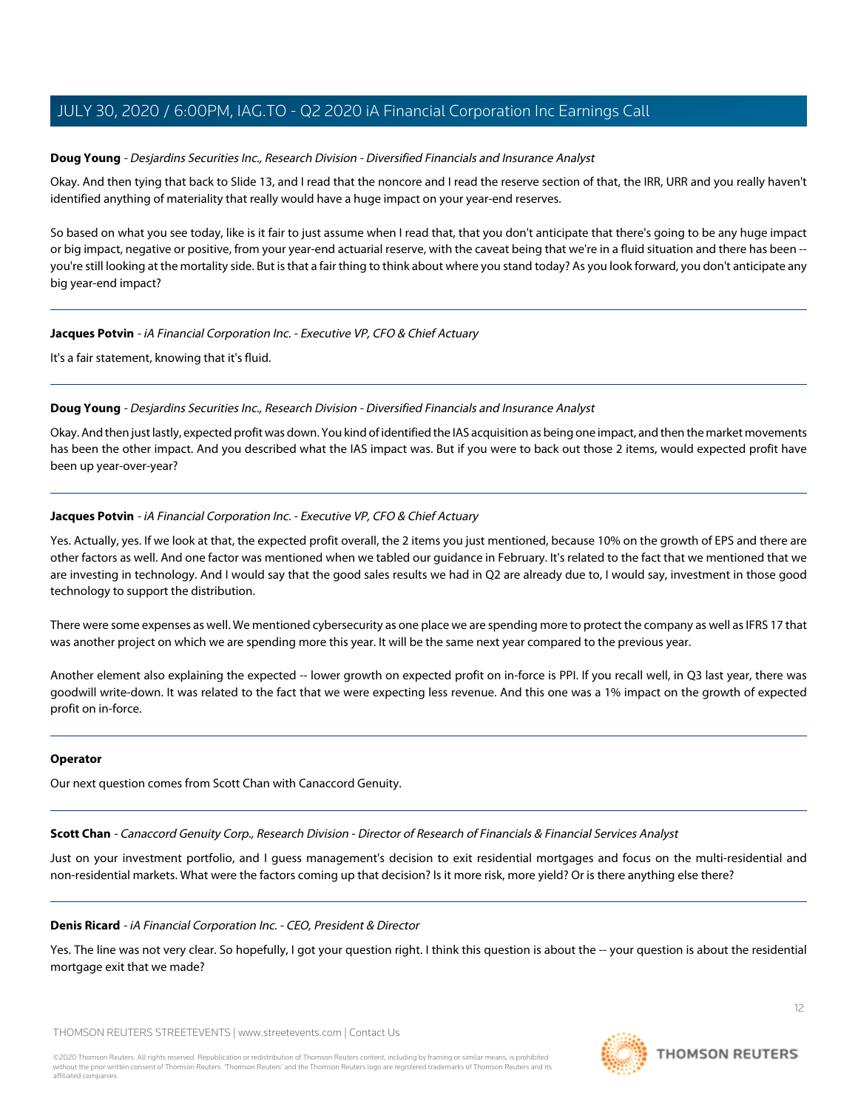### **Doug Young** - Desjardins Securities Inc., Research Division - Diversified Financials and Insurance Analyst

Okay. And then tying that back to Slide 13, and I read that the noncore and I read the reserve section of that, the IRR, URR and you really haven't identified anything of materiality that really would have a huge impact on your year-end reserves.

So based on what you see today, like is it fair to just assume when I read that, that you don't anticipate that there's going to be any huge impact or big impact, negative or positive, from your year-end actuarial reserve, with the caveat being that we're in a fluid situation and there has been - you're still looking at the mortality side. But is that a fair thing to think about where you stand today? As you look forward, you don't anticipate any big year-end impact?

### **Jacques Potvin** - iA Financial Corporation Inc. - Executive VP, CFO & Chief Actuary

It's a fair statement, knowing that it's fluid.

### **Doug Young** - Desjardins Securities Inc., Research Division - Diversified Financials and Insurance Analyst

Okay. And then just lastly, expected profit was down. You kind of identified the IAS acquisition as being one impact, and then the market movements has been the other impact. And you described what the IAS impact was. But if you were to back out those 2 items, would expected profit have been up year-over-year?

### **Jacques Potvin** - iA Financial Corporation Inc. - Executive VP, CFO & Chief Actuary

Yes. Actually, yes. If we look at that, the expected profit overall, the 2 items you just mentioned, because 10% on the growth of EPS and there are other factors as well. And one factor was mentioned when we tabled our guidance in February. It's related to the fact that we mentioned that we are investing in technology. And I would say that the good sales results we had in Q2 are already due to, I would say, investment in those good technology to support the distribution.

There were some expenses as well. We mentioned cybersecurity as one place we are spending more to protect the company as well as IFRS 17 that was another project on which we are spending more this year. It will be the same next year compared to the previous year.

Another element also explaining the expected -- lower growth on expected profit on in-force is PPI. If you recall well, in Q3 last year, there was goodwill write-down. It was related to the fact that we were expecting less revenue. And this one was a 1% impact on the growth of expected profit on in-force.

### <span id="page-11-0"></span>**Operator**

Our next question comes from Scott Chan with Canaccord Genuity.

**Scott Chan** - Canaccord Genuity Corp., Research Division - Director of Research of Financials & Financial Services Analyst

Just on your investment portfolio, and I guess management's decision to exit residential mortgages and focus on the multi-residential and non-residential markets. What were the factors coming up that decision? Is it more risk, more yield? Or is there anything else there?

### **Denis Ricard** - iA Financial Corporation Inc. - CEO, President & Director

Yes. The line was not very clear. So hopefully, I got your question right. I think this question is about the -- your question is about the residential mortgage exit that we made?

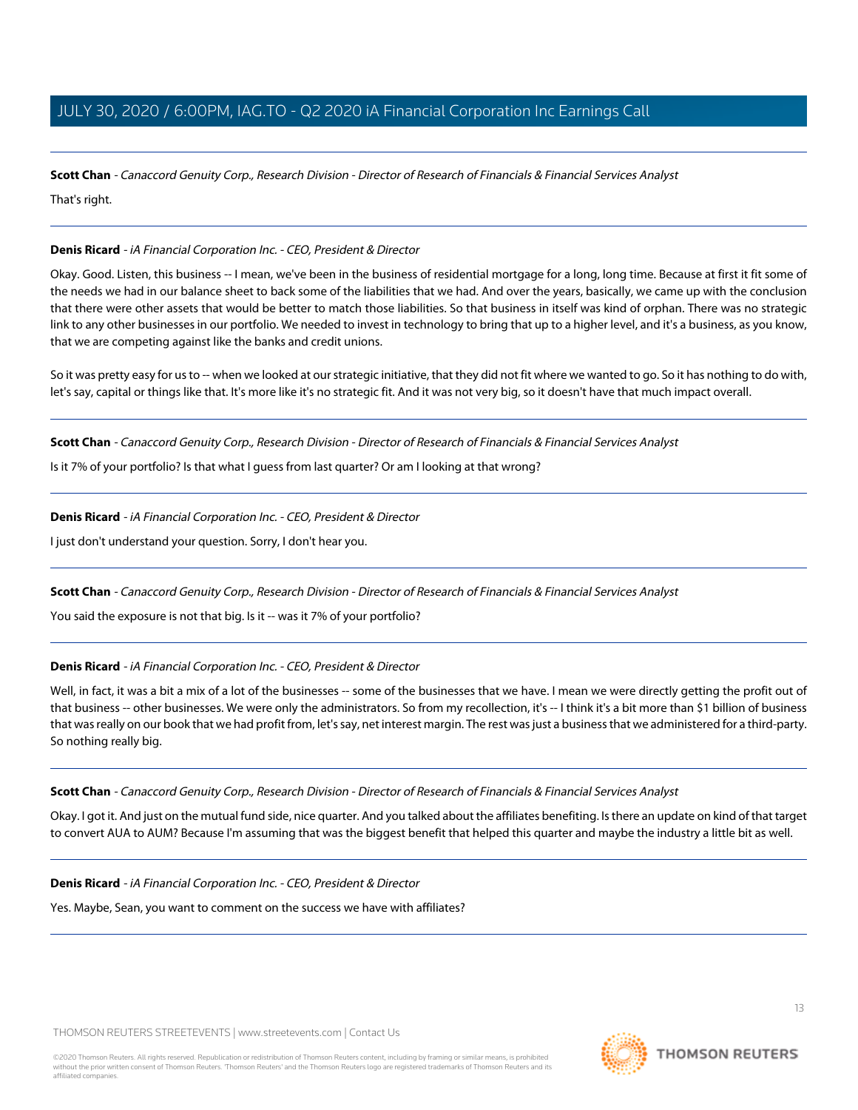**Scott Chan** - Canaccord Genuity Corp., Research Division - Director of Research of Financials & Financial Services Analyst That's right.

### **Denis Ricard** - iA Financial Corporation Inc. - CEO, President & Director

Okay. Good. Listen, this business -- I mean, we've been in the business of residential mortgage for a long, long time. Because at first it fit some of the needs we had in our balance sheet to back some of the liabilities that we had. And over the years, basically, we came up with the conclusion that there were other assets that would be better to match those liabilities. So that business in itself was kind of orphan. There was no strategic link to any other businesses in our portfolio. We needed to invest in technology to bring that up to a higher level, and it's a business, as you know, that we are competing against like the banks and credit unions.

So it was pretty easy for us to -- when we looked at our strategic initiative, that they did not fit where we wanted to go. So it has nothing to do with, let's say, capital or things like that. It's more like it's no strategic fit. And it was not very big, so it doesn't have that much impact overall.

**Scott Chan** - Canaccord Genuity Corp., Research Division - Director of Research of Financials & Financial Services Analyst

Is it 7% of your portfolio? Is that what I guess from last quarter? Or am I looking at that wrong?

**Denis Ricard** - iA Financial Corporation Inc. - CEO, President & Director

I just don't understand your question. Sorry, I don't hear you.

**Scott Chan** - Canaccord Genuity Corp., Research Division - Director of Research of Financials & Financial Services Analyst

You said the exposure is not that big. Is it -- was it 7% of your portfolio?

**Denis Ricard** - iA Financial Corporation Inc. - CEO, President & Director

Well, in fact, it was a bit a mix of a lot of the businesses -- some of the businesses that we have. I mean we were directly getting the profit out of that business -- other businesses. We were only the administrators. So from my recollection, it's -- I think it's a bit more than \$1 billion of business that was really on our book that we had profit from, let's say, net interest margin. The rest was just a business that we administered for a third-party. So nothing really big.

**Scott Chan** - Canaccord Genuity Corp., Research Division - Director of Research of Financials & Financial Services Analyst

Okay. I got it. And just on the mutual fund side, nice quarter. And you talked about the affiliates benefiting. Is there an update on kind of that target to convert AUA to AUM? Because I'm assuming that was the biggest benefit that helped this quarter and maybe the industry a little bit as well.

**Denis Ricard** - iA Financial Corporation Inc. - CEO, President & Director

Yes. Maybe, Sean, you want to comment on the success we have with affiliates?

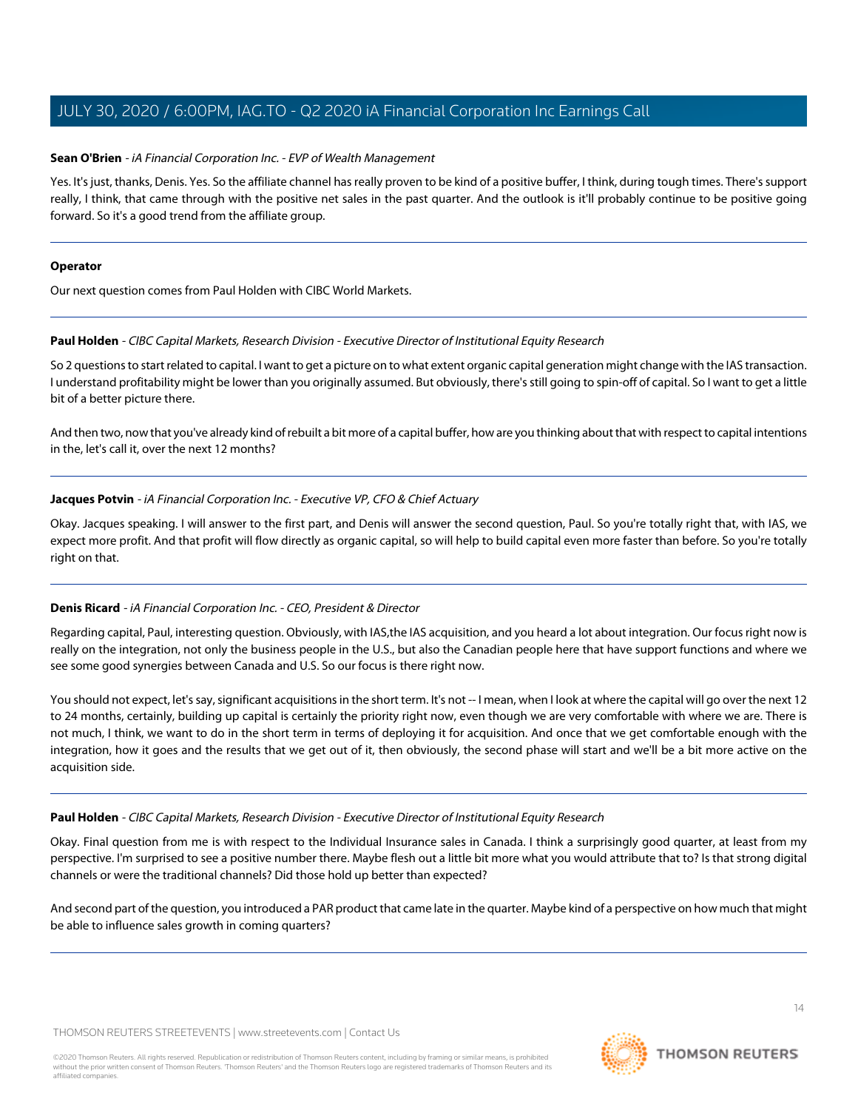### <span id="page-13-0"></span>**Sean O'Brien** - iA Financial Corporation Inc. - EVP of Wealth Management

Yes. It's just, thanks, Denis. Yes. So the affiliate channel has really proven to be kind of a positive buffer, I think, during tough times. There's support really, I think, that came through with the positive net sales in the past quarter. And the outlook is it'll probably continue to be positive going forward. So it's a good trend from the affiliate group.

### **Operator**

<span id="page-13-1"></span>Our next question comes from Paul Holden with CIBC World Markets.

### **Paul Holden** - CIBC Capital Markets, Research Division - Executive Director of Institutional Equity Research

So 2 questions to start related to capital. I want to get a picture on to what extent organic capital generation might change with the IAS transaction. I understand profitability might be lower than you originally assumed. But obviously, there's still going to spin-off of capital. So I want to get a little bit of a better picture there.

And then two, now that you've already kind of rebuilt a bit more of a capital buffer, how are you thinking about that with respect to capital intentions in the, let's call it, over the next 12 months?

# **Jacques Potvin** - iA Financial Corporation Inc. - Executive VP, CFO & Chief Actuary

Okay. Jacques speaking. I will answer to the first part, and Denis will answer the second question, Paul. So you're totally right that, with IAS, we expect more profit. And that profit will flow directly as organic capital, so will help to build capital even more faster than before. So you're totally right on that.

### **Denis Ricard** - iA Financial Corporation Inc. - CEO, President & Director

Regarding capital, Paul, interesting question. Obviously, with IAS,the IAS acquisition, and you heard a lot about integration. Our focus right now is really on the integration, not only the business people in the U.S., but also the Canadian people here that have support functions and where we see some good synergies between Canada and U.S. So our focus is there right now.

You should not expect, let's say, significant acquisitions in the short term. It's not -- I mean, when I look at where the capital will go over the next 12 to 24 months, certainly, building up capital is certainly the priority right now, even though we are very comfortable with where we are. There is not much, I think, we want to do in the short term in terms of deploying it for acquisition. And once that we get comfortable enough with the integration, how it goes and the results that we get out of it, then obviously, the second phase will start and we'll be a bit more active on the acquisition side.

### **Paul Holden** - CIBC Capital Markets, Research Division - Executive Director of Institutional Equity Research

Okay. Final question from me is with respect to the Individual Insurance sales in Canada. I think a surprisingly good quarter, at least from my perspective. I'm surprised to see a positive number there. Maybe flesh out a little bit more what you would attribute that to? Is that strong digital channels or were the traditional channels? Did those hold up better than expected?

And second part of the question, you introduced a PAR product that came late in the quarter. Maybe kind of a perspective on how much that might be able to influence sales growth in coming quarters?

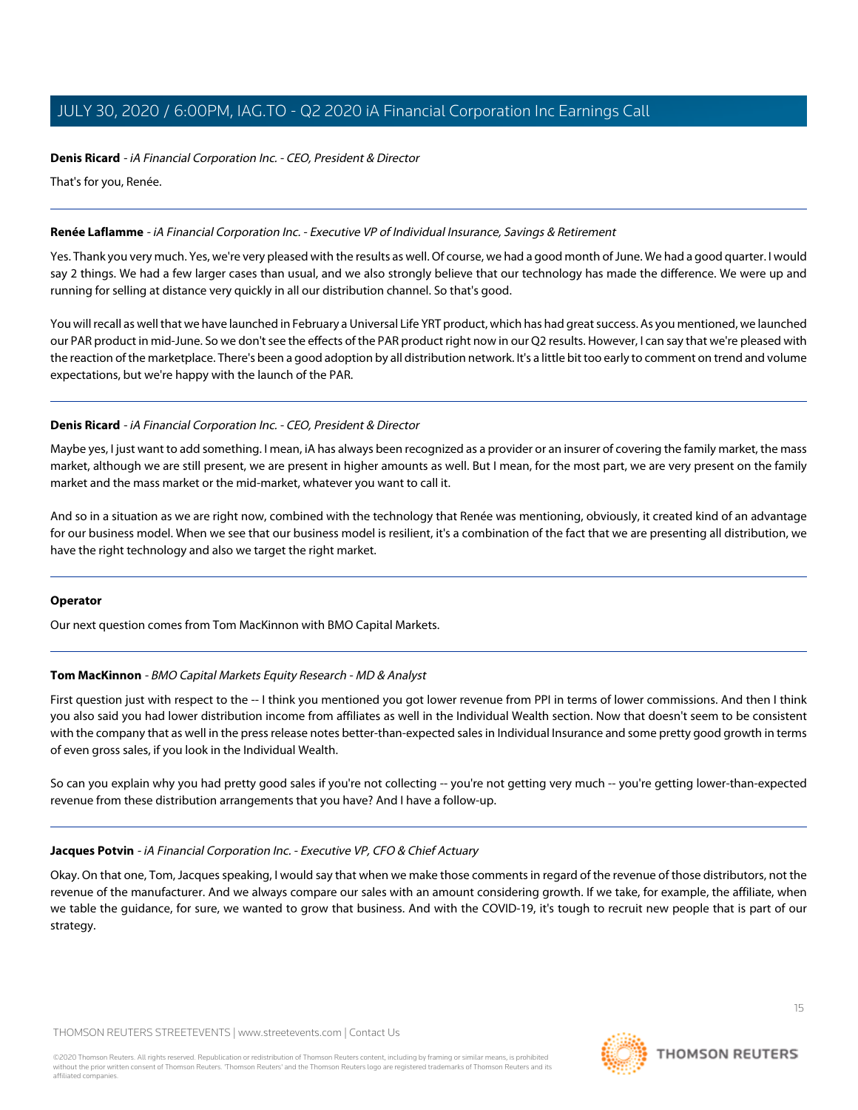### **Denis Ricard** - iA Financial Corporation Inc. - CEO, President & Director

That's for you, Renée.

### <span id="page-14-0"></span>**Renée Laflamme** - iA Financial Corporation Inc. - Executive VP of Individual Insurance, Savings & Retirement

Yes. Thank you very much. Yes, we're very pleased with the results as well. Of course, we had a good month of June. We had a good quarter. I would say 2 things. We had a few larger cases than usual, and we also strongly believe that our technology has made the difference. We were up and running for selling at distance very quickly in all our distribution channel. So that's good.

You will recall as well that we have launched in February a Universal Life YRT product, which has had great success. As you mentioned, we launched our PAR product in mid-June. So we don't see the effects of the PAR product right now in our Q2 results. However, I can say that we're pleased with the reaction of the marketplace. There's been a good adoption by all distribution network. It's a little bit too early to comment on trend and volume expectations, but we're happy with the launch of the PAR.

# **Denis Ricard** - iA Financial Corporation Inc. - CEO, President & Director

Maybe yes, I just want to add something. I mean, iA has always been recognized as a provider or an insurer of covering the family market, the mass market, although we are still present, we are present in higher amounts as well. But I mean, for the most part, we are very present on the family market and the mass market or the mid-market, whatever you want to call it.

And so in a situation as we are right now, combined with the technology that Renée was mentioning, obviously, it created kind of an advantage for our business model. When we see that our business model is resilient, it's a combination of the fact that we are presenting all distribution, we have the right technology and also we target the right market.

### <span id="page-14-1"></span>**Operator**

Our next question comes from Tom MacKinnon with BMO Capital Markets.

# **Tom MacKinnon** - BMO Capital Markets Equity Research - MD & Analyst

First question just with respect to the -- I think you mentioned you got lower revenue from PPI in terms of lower commissions. And then I think you also said you had lower distribution income from affiliates as well in the Individual Wealth section. Now that doesn't seem to be consistent with the company that as well in the press release notes better-than-expected sales in Individual Insurance and some pretty good growth in terms of even gross sales, if you look in the Individual Wealth.

So can you explain why you had pretty good sales if you're not collecting -- you're not getting very much -- you're getting lower-than-expected revenue from these distribution arrangements that you have? And I have a follow-up.

### **Jacques Potvin** - iA Financial Corporation Inc. - Executive VP, CFO & Chief Actuary

Okay. On that one, Tom, Jacques speaking, I would say that when we make those comments in regard of the revenue of those distributors, not the revenue of the manufacturer. And we always compare our sales with an amount considering growth. If we take, for example, the affiliate, when we table the guidance, for sure, we wanted to grow that business. And with the COVID-19, it's tough to recruit new people that is part of our strategy.

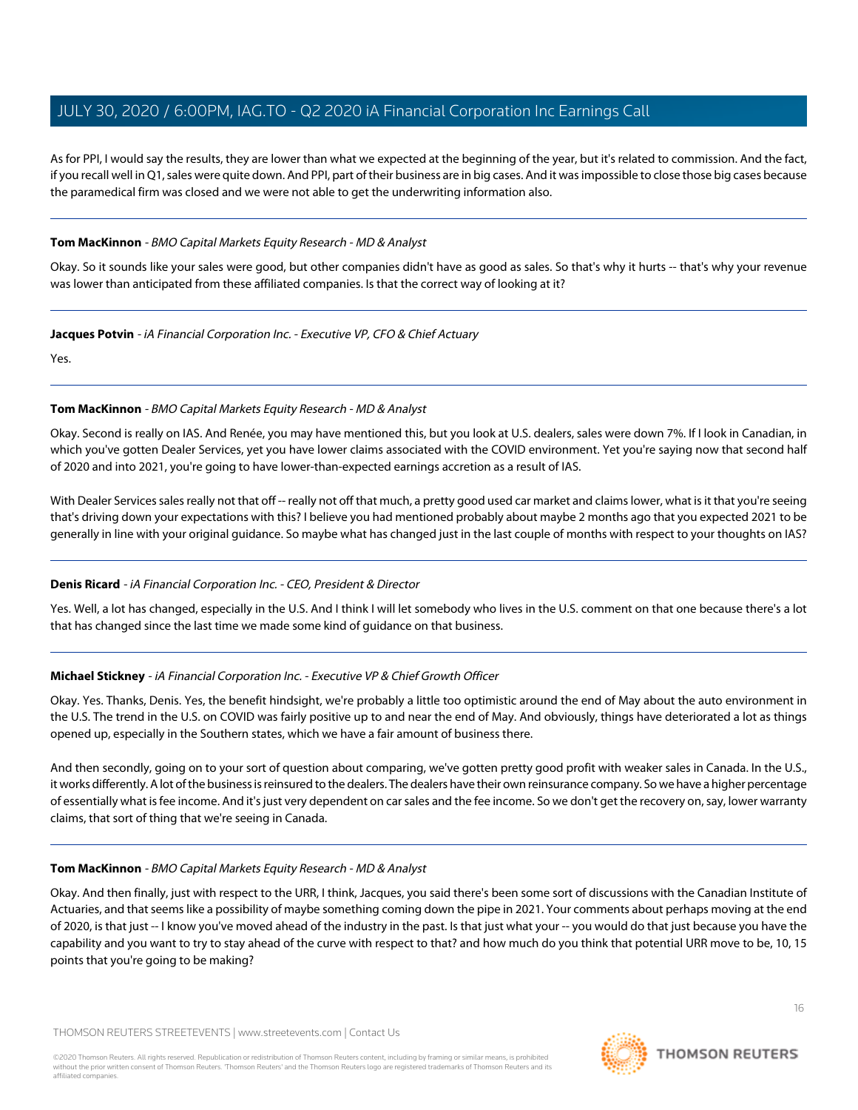As for PPI, I would say the results, they are lower than what we expected at the beginning of the year, but it's related to commission. And the fact, if you recall well in Q1, sales were quite down. And PPI, part of their business are in big cases. And it was impossible to close those big cases because the paramedical firm was closed and we were not able to get the underwriting information also.

### **Tom MacKinnon** - BMO Capital Markets Equity Research - MD & Analyst

Okay. So it sounds like your sales were good, but other companies didn't have as good as sales. So that's why it hurts -- that's why your revenue was lower than anticipated from these affiliated companies. Is that the correct way of looking at it?

### **Jacques Potvin** - iA Financial Corporation Inc. - Executive VP, CFO & Chief Actuary

Yes.

# **Tom MacKinnon** - BMO Capital Markets Equity Research - MD & Analyst

Okay. Second is really on IAS. And Renée, you may have mentioned this, but you look at U.S. dealers, sales were down 7%. If I look in Canadian, in which you've gotten Dealer Services, yet you have lower claims associated with the COVID environment. Yet you're saying now that second half of 2020 and into 2021, you're going to have lower-than-expected earnings accretion as a result of IAS.

With Dealer Services sales really not that off -- really not off that much, a pretty good used car market and claims lower, what is it that you're seeing that's driving down your expectations with this? I believe you had mentioned probably about maybe 2 months ago that you expected 2021 to be generally in line with your original guidance. So maybe what has changed just in the last couple of months with respect to your thoughts on IAS?

# **Denis Ricard** - iA Financial Corporation Inc. - CEO, President & Director

Yes. Well, a lot has changed, especially in the U.S. And I think I will let somebody who lives in the U.S. comment on that one because there's a lot that has changed since the last time we made some kind of guidance on that business.

# **Michael Stickney** - iA Financial Corporation Inc. - Executive VP & Chief Growth Officer

Okay. Yes. Thanks, Denis. Yes, the benefit hindsight, we're probably a little too optimistic around the end of May about the auto environment in the U.S. The trend in the U.S. on COVID was fairly positive up to and near the end of May. And obviously, things have deteriorated a lot as things opened up, especially in the Southern states, which we have a fair amount of business there.

And then secondly, going on to your sort of question about comparing, we've gotten pretty good profit with weaker sales in Canada. In the U.S., it works differently. A lot of the business is reinsured to the dealers. The dealers have their own reinsurance company. So we have a higher percentage of essentially what is fee income. And it's just very dependent on car sales and the fee income. So we don't get the recovery on, say, lower warranty claims, that sort of thing that we're seeing in Canada.

# **Tom MacKinnon** - BMO Capital Markets Equity Research - MD & Analyst

Okay. And then finally, just with respect to the URR, I think, Jacques, you said there's been some sort of discussions with the Canadian Institute of Actuaries, and that seems like a possibility of maybe something coming down the pipe in 2021. Your comments about perhaps moving at the end of 2020, is that just -- I know you've moved ahead of the industry in the past. Is that just what your -- you would do that just because you have the capability and you want to try to stay ahead of the curve with respect to that? and how much do you think that potential URR move to be, 10, 15 points that you're going to be making?

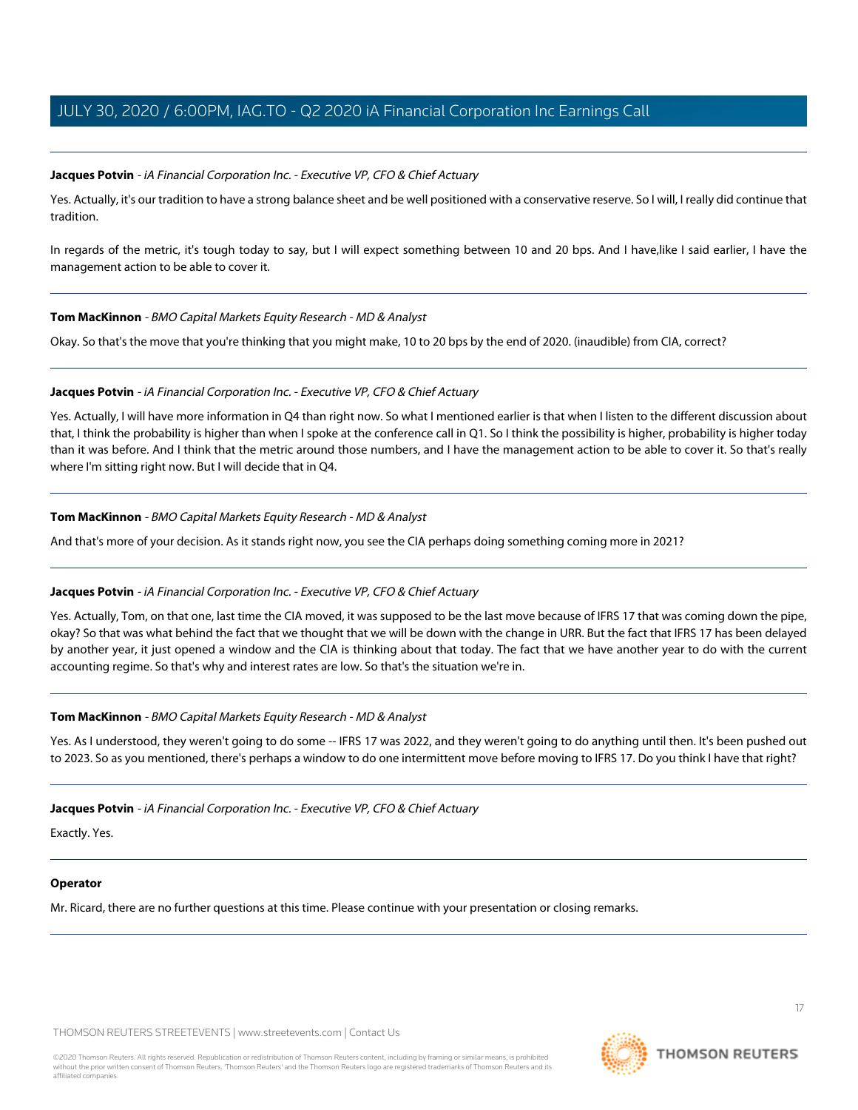### **Jacques Potvin** - iA Financial Corporation Inc. - Executive VP, CFO & Chief Actuary

Yes. Actually, it's our tradition to have a strong balance sheet and be well positioned with a conservative reserve. So I will, I really did continue that tradition.

In regards of the metric, it's tough today to say, but I will expect something between 10 and 20 bps. And I have, like I said earlier, I have the management action to be able to cover it.

### **Tom MacKinnon** - BMO Capital Markets Equity Research - MD & Analyst

Okay. So that's the move that you're thinking that you might make, 10 to 20 bps by the end of 2020. (inaudible) from CIA, correct?

### **Jacques Potvin** - iA Financial Corporation Inc. - Executive VP, CFO & Chief Actuary

Yes. Actually, I will have more information in Q4 than right now. So what I mentioned earlier is that when I listen to the different discussion about that, I think the probability is higher than when I spoke at the conference call in Q1. So I think the possibility is higher, probability is higher today than it was before. And I think that the metric around those numbers, and I have the management action to be able to cover it. So that's really where I'm sitting right now. But I will decide that in Q4.

### **Tom MacKinnon** - BMO Capital Markets Equity Research - MD & Analyst

And that's more of your decision. As it stands right now, you see the CIA perhaps doing something coming more in 2021?

### **Jacques Potvin** - iA Financial Corporation Inc. - Executive VP, CFO & Chief Actuary

Yes. Actually, Tom, on that one, last time the CIA moved, it was supposed to be the last move because of IFRS 17 that was coming down the pipe, okay? So that was what behind the fact that we thought that we will be down with the change in URR. But the fact that IFRS 17 has been delayed by another year, it just opened a window and the CIA is thinking about that today. The fact that we have another year to do with the current accounting regime. So that's why and interest rates are low. So that's the situation we're in.

### **Tom MacKinnon** - BMO Capital Markets Equity Research - MD & Analyst

Yes. As I understood, they weren't going to do some -- IFRS 17 was 2022, and they weren't going to do anything until then. It's been pushed out to 2023. So as you mentioned, there's perhaps a window to do one intermittent move before moving to IFRS 17. Do you think I have that right?

### **Jacques Potvin** - iA Financial Corporation Inc. - Executive VP, CFO & Chief Actuary

Exactly. Yes.

### **Operator**

Mr. Ricard, there are no further questions at this time. Please continue with your presentation or closing remarks.